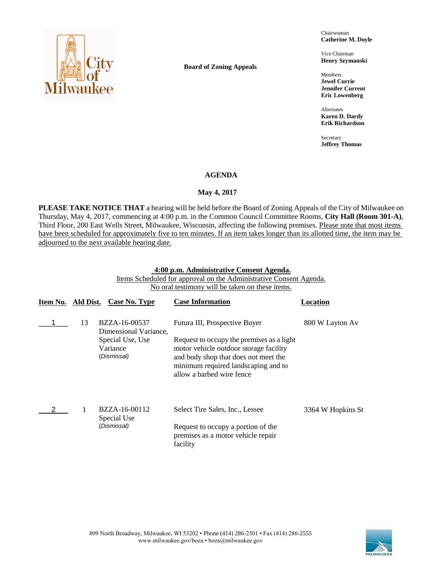

**Board of Zoning Appeals**

Chairwoman **Catherine M. Doyle**

Vice Chairman **Henry Szymanski**

Members **Jewel Currie Jennifer Current Eric Lowenberg**

Alternates **Karen D. Dardy Erik Richardson**

Secretary **Jeffrey Thomas**

#### **AGENDA**

#### **May 4, 2017**

**PLEASE TAKE NOTICE THAT** a hearing will be held before the Board of Zoning Appeals of the City of Milwaukee on Thursday, May 4, 2017, commencing at 4:00 p.m. in the Common Council Committee Rooms, **City Hall (Room 301-A)**, Third Floor, 200 East Wells Street, Milwaukee, Wisconsin, affecting the following premises. Please note that most items have been scheduled for approximately five to ten minutes. If an item takes longer than its allotted time, the item may be adjourned to the next available hearing date.

#### **4:00 p.m. Administrative Consent Agenda.**

Items Scheduled for approval on the Administrative Consent Agenda. No oral testimony will be taken on these items.

|    | Case No. Type                               | <b>Case Information</b>                                                                                                                                                                         | Location          |
|----|---------------------------------------------|-------------------------------------------------------------------------------------------------------------------------------------------------------------------------------------------------|-------------------|
| 13 | BZZA-16-00537<br>Dimensional Variance,      | Futura III, Prospective Buyer                                                                                                                                                                   | 800 W Layton Av   |
|    | Special Use, Use<br>Variance<br>(Dismissal) | Request to occupy the premises as a light<br>motor vehicle outdoor storage facility<br>and body shop that does not meet the<br>minimum required landscaping and to<br>allow a barbed wire fence |                   |
| 1  | BZZA-16-00112                               | Select Tire Sales, Inc., Lessee                                                                                                                                                                 | 3364 W Hopkins St |
|    | (Dismissal)                                 | Request to occupy a portion of the<br>premises as a motor vehicle repair<br>facility                                                                                                            |                   |
|    |                                             | Ald Dist.<br>Special Use                                                                                                                                                                        |                   |

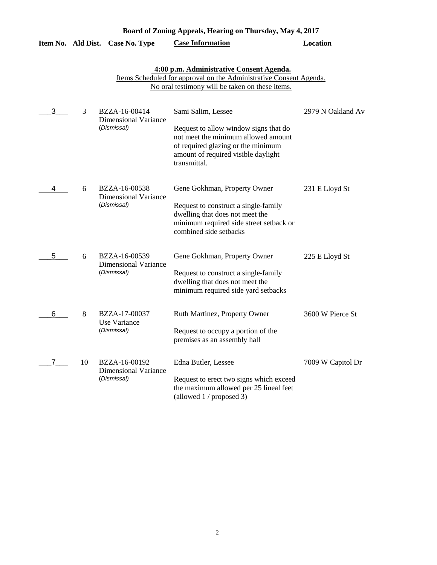|                    |    |                                                             | Board of Zoning Appeals, Hearing on Thursday, May 4, 2017                                                                                                                                       |                   |
|--------------------|----|-------------------------------------------------------------|-------------------------------------------------------------------------------------------------------------------------------------------------------------------------------------------------|-------------------|
| Item No. Ald Dist. |    | <b>Case No. Type</b>                                        | <b>Case Information</b>                                                                                                                                                                         | <b>Location</b>   |
|                    |    |                                                             | 4:00 p.m. Administrative Consent Agenda.<br>Items Scheduled for approval on the Administrative Consent Agenda.<br>No oral testimony will be taken on these items.                               |                   |
| 3                  | 3  | BZZA-16-00414<br><b>Dimensional Variance</b><br>(Dismissal) | Sami Salim, Lessee<br>Request to allow window signs that do<br>not meet the minimum allowed amount<br>of required glazing or the minimum<br>amount of required visible daylight<br>transmittal. | 2979 N Oakland Av |
| 4                  | 6  | BZZA-16-00538<br><b>Dimensional Variance</b><br>(Dismissal) | Gene Gokhman, Property Owner<br>Request to construct a single-family<br>dwelling that does not meet the<br>minimum required side street setback or<br>combined side setbacks                    | 231 E Lloyd St    |
| 5                  | 6  | BZZA-16-00539<br><b>Dimensional Variance</b><br>(Dismissal) | Gene Gokhman, Property Owner<br>Request to construct a single-family<br>dwelling that does not meet the<br>minimum required side yard setbacks                                                  | 225 E Lloyd St    |
| 6                  | 8  | BZZA-17-00037<br>Use Variance<br>(Dismissal)                | Ruth Martinez, Property Owner<br>Request to occupy a portion of the<br>premises as an assembly hall                                                                                             | 3600 W Pierce St  |
| 7                  | 10 | BZZA-16-00192<br><b>Dimensional Variance</b><br>(Dismissal) | Edna Butler, Lessee<br>Request to erect two signs which exceed<br>the maximum allowed per 25 lineal feet<br>(allowed 1 / proposed 3)                                                            | 7009 W Capitol Dr |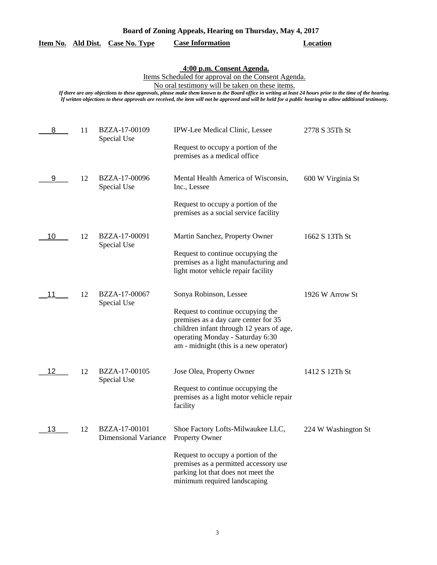| Board of Zoning Appeals, Hearing on Thursday, May 4, 2017 |  |  |  |  |  |  |
|-----------------------------------------------------------|--|--|--|--|--|--|
|-----------------------------------------------------------|--|--|--|--|--|--|

### **Item No. Ald Dist. Case No. Type Case Information Location**

## **4:00 p.m. Consent Agenda.**

Items Scheduled for approval on the Consent Agenda.

No oral testimony will be taken on these items.

| 8  | 11 | BZZA-17-00109<br>Special Use                 | IPW-Lee Medical Clinic, Lessee                                                                                                                                                                      | 2778 S 35Th St      |
|----|----|----------------------------------------------|-----------------------------------------------------------------------------------------------------------------------------------------------------------------------------------------------------|---------------------|
|    |    |                                              | Request to occupy a portion of the<br>premises as a medical office                                                                                                                                  |                     |
| 9  | 12 | BZZA-17-00096<br>Special Use                 | Mental Health America of Wisconsin,<br>Inc., Lessee                                                                                                                                                 | 600 W Virginia St   |
|    |    |                                              | Request to occupy a portion of the<br>premises as a social service facility                                                                                                                         |                     |
| 10 | 12 | BZZA-17-00091<br>Special Use                 | Martin Sanchez, Property Owner                                                                                                                                                                      | 1662 S 13Th St      |
|    |    |                                              | Request to continue occupying the<br>premises as a light manufacturing and<br>light motor vehicle repair facility                                                                                   |                     |
| 11 | 12 | BZZA-17-00067<br>Special Use                 | Sonya Robinson, Lessee                                                                                                                                                                              | 1926 W Arrow St     |
|    |    |                                              | Request to continue occupying the<br>premises as a day care center for 35<br>children infant through 12 years of age,<br>operating Monday - Saturday 6:30<br>am - midnight (this is a new operator) |                     |
| 12 | 12 | BZZA-17-00105<br>Special Use                 | Jose Olea, Property Owner                                                                                                                                                                           | 1412 S 12Th St      |
|    |    |                                              | Request to continue occupying the<br>premises as a light motor vehicle repair<br>facility                                                                                                           |                     |
| 13 | 12 | BZZA-17-00101<br><b>Dimensional Variance</b> | Shoe Factory Lofts-Milwaukee LLC,<br><b>Property Owner</b>                                                                                                                                          | 224 W Washington St |
|    |    |                                              | Request to occupy a portion of the<br>premises as a permitted accessory use<br>parking lot that does not meet the<br>minimum required landscaping                                                   |                     |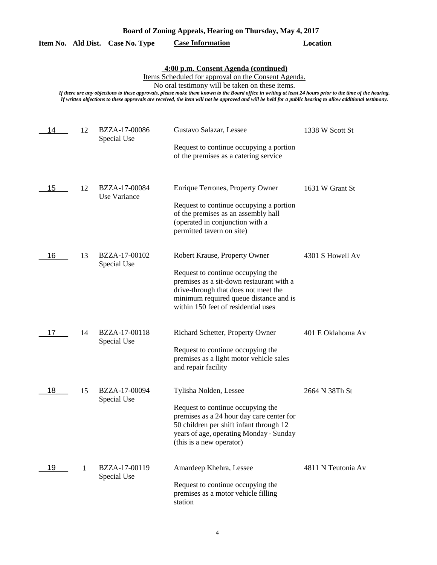## **Item No. Ald Dist. Case No. Type Case Information Location**

**4:00 p.m. Consent Agenda (continued)**

Items Scheduled for approval on the Consent Agenda.

No oral testimony will be taken on these items.

| 14 | 12 | BZZA-17-00086<br>Special Use  | Gustavo Salazar, Lessee                                                                                                                                                                                                                 | 1338 W Scott St    |
|----|----|-------------------------------|-----------------------------------------------------------------------------------------------------------------------------------------------------------------------------------------------------------------------------------------|--------------------|
|    |    |                               | Request to continue occupying a portion<br>of the premises as a catering service                                                                                                                                                        |                    |
| 15 | 12 | BZZA-17-00084<br>Use Variance | Enrique Terrones, Property Owner<br>Request to continue occupying a portion<br>of the premises as an assembly hall<br>(operated in conjunction with a<br>permitted tavern on site)                                                      | 1631 W Grant St    |
| 16 | 13 | BZZA-17-00102<br>Special Use  | Robert Krause, Property Owner<br>Request to continue occupying the<br>premises as a sit-down restaurant with a<br>drive-through that does not meet the<br>minimum required queue distance and is<br>within 150 feet of residential uses | 4301 S Howell Av   |
| 17 | 14 | BZZA-17-00118<br>Special Use  | Richard Schetter, Property Owner<br>Request to continue occupying the<br>premises as a light motor vehicle sales<br>and repair facility                                                                                                 | 401 E Oklahoma Av  |
| 18 | 15 | BZZA-17-00094<br>Special Use  | Tylisha Nolden, Lessee<br>Request to continue occupying the<br>premises as a 24 hour day care center for<br>50 children per shift infant through 12<br>years of age, operating Monday - Sunday<br>(this is a new operator)              | 2664 N 38Th St     |
| 19 | 1  | BZZA-17-00119<br>Special Use  | Amardeep Khehra, Lessee<br>Request to continue occupying the<br>premises as a motor vehicle filling<br>station                                                                                                                          | 4811 N Teutonia Av |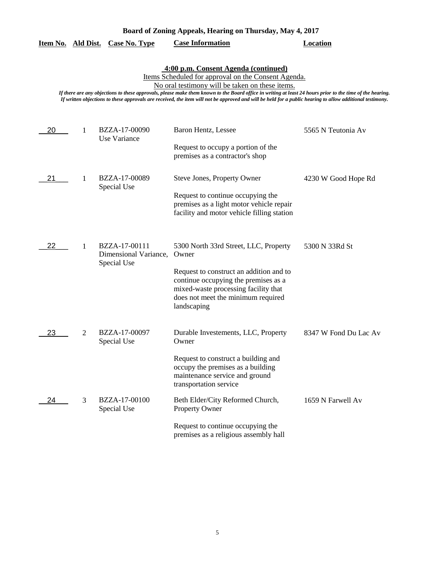| Board of Zoning Appeals, Hearing on Thursday, May 4, 2017 |  |  |  |  |  |  |
|-----------------------------------------------------------|--|--|--|--|--|--|
|-----------------------------------------------------------|--|--|--|--|--|--|

### **Item No. Ald Dist. Case No. Type Case Information Location**

## **4:00 p.m. Consent Agenda (continued)**

Items Scheduled for approval on the Consent Agenda.

No oral testimony will be taken on these items.

| 20 | 1 | BZZA-17-00090<br>Use Variance                         | Baron Hentz, Lessee                                                                                                                                                                                                            | 5565 N Teutonia Av    |
|----|---|-------------------------------------------------------|--------------------------------------------------------------------------------------------------------------------------------------------------------------------------------------------------------------------------------|-----------------------|
|    |   |                                                       | Request to occupy a portion of the<br>premises as a contractor's shop                                                                                                                                                          |                       |
| 21 | 1 | BZZA-17-00089<br>Special Use                          | Steve Jones, Property Owner<br>Request to continue occupying the<br>premises as a light motor vehicle repair<br>facility and motor vehicle filling station                                                                     | 4230 W Good Hope Rd   |
| 22 | 1 | BZZA-17-00111<br>Dimensional Variance,<br>Special Use | 5300 North 33rd Street, LLC, Property<br>Owner<br>Request to construct an addition and to<br>continue occupying the premises as a<br>mixed-waste processing facility that<br>does not meet the minimum required<br>landscaping | 5300 N 33Rd St        |
| 23 | 2 | BZZA-17-00097<br>Special Use                          | Durable Investements, LLC, Property<br>Owner<br>Request to construct a building and<br>occupy the premises as a building<br>maintenance service and ground<br>transportation service                                           | 8347 W Fond Du Lac Av |
| 24 | 3 | BZZA-17-00100<br>Special Use                          | Beth Elder/City Reformed Church,<br>Property Owner<br>Request to continue occupying the<br>premises as a religious assembly hall                                                                                               | 1659 N Farwell Av     |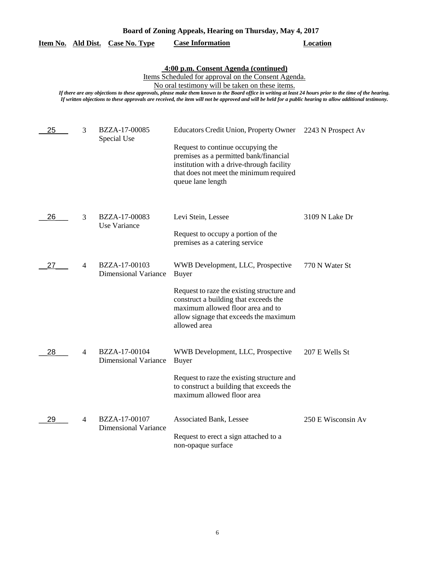|  | Board of Zoning Appeals, Hearing on Thursday, May 4, 2017 |  |  |  |  |  |
|--|-----------------------------------------------------------|--|--|--|--|--|
|  |                                                           |  |  |  |  |  |

|                                                                                                                                                                                                                                                                                                                                                                                                                                                                          |   |                                              | Board of Zoning Appeals, Hearing on Thursday, May 4, 2017                                                                                                                                                                                 |                    |  |  |  |
|--------------------------------------------------------------------------------------------------------------------------------------------------------------------------------------------------------------------------------------------------------------------------------------------------------------------------------------------------------------------------------------------------------------------------------------------------------------------------|---|----------------------------------------------|-------------------------------------------------------------------------------------------------------------------------------------------------------------------------------------------------------------------------------------------|--------------------|--|--|--|
|                                                                                                                                                                                                                                                                                                                                                                                                                                                                          |   | Item No. Ald Dist. Case No. Type             | <b>Case Information</b>                                                                                                                                                                                                                   | <b>Location</b>    |  |  |  |
| 4:00 p.m. Consent Agenda (continued)<br>Items Scheduled for approval on the Consent Agenda.<br>No oral testimony will be taken on these items.<br>If there are any objections to these approvals, please make them known to the Board office in writing at least 24 hours prior to the time of the hearing.<br>If written objections to these approvals are received, the item will not be approved and will be held for a public hearing to allow additional testimony. |   |                                              |                                                                                                                                                                                                                                           |                    |  |  |  |
| 25                                                                                                                                                                                                                                                                                                                                                                                                                                                                       | 3 | BZZA-17-00085<br>Special Use                 | <b>Educators Credit Union, Property Owner</b><br>Request to continue occupying the<br>premises as a permitted bank/financial<br>institution with a drive-through facility<br>that does not meet the minimum required<br>queue lane length | 2243 N Prospect Av |  |  |  |
| 26                                                                                                                                                                                                                                                                                                                                                                                                                                                                       | 3 | BZZA-17-00083<br>Use Variance                | Levi Stein, Lessee<br>Request to occupy a portion of the<br>premises as a catering service                                                                                                                                                | 3109 N Lake Dr     |  |  |  |
| 27                                                                                                                                                                                                                                                                                                                                                                                                                                                                       | 4 | BZZA-17-00103<br><b>Dimensional Variance</b> | WWB Development, LLC, Prospective<br><b>Buyer</b><br>Request to raze the existing structure and<br>construct a building that exceeds the<br>maximum allowed floor area and to<br>allow signage that exceeds the maximum<br>allowed area   | 770 N Water St     |  |  |  |
| 28                                                                                                                                                                                                                                                                                                                                                                                                                                                                       | 4 | BZZA-17-00104<br><b>Dimensional Variance</b> | WWB Development, LLC, Prospective<br><b>Buyer</b>                                                                                                                                                                                         | 207 E Wells St     |  |  |  |

to construct a building that exceeds the maximum allowed floor area BZZA-17-00107 Associated Bank, Lessee 250 E Wisconsin Av Request to erect a sign attached to a non-opaque surface Dimensional Variance  $29$  4

Request to raze the existing structure and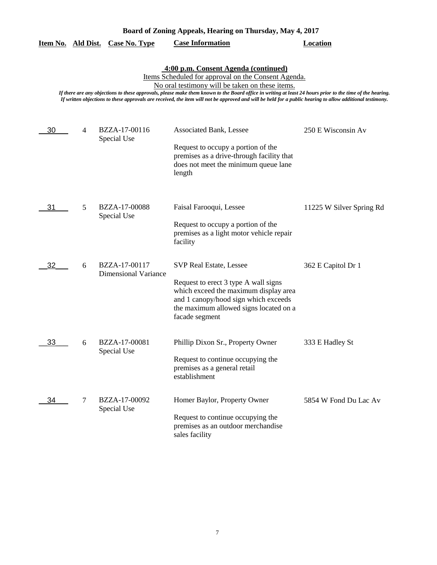| Board of Zoning Appeals, Hearing on Thursday, May 4, 2017 |  |  |  |  |  |
|-----------------------------------------------------------|--|--|--|--|--|
|-----------------------------------------------------------|--|--|--|--|--|

| <b>Case Information</b><br>Item No. Ald Dist. Case No. Type<br>Location |  |
|-------------------------------------------------------------------------|--|
|-------------------------------------------------------------------------|--|

**4:00 p.m. Consent Agenda (continued)**

Items Scheduled for approval on the Consent Agenda.

No oral testimony will be taken on these items.

| 30 | $\overline{4}$ | BZZA-17-00116<br>Special Use                 | <b>Associated Bank, Lessee</b><br>Request to occupy a portion of the<br>premises as a drive-through facility that<br>does not meet the minimum queue lane<br>length                                                 | 250 E Wisconsin Av       |
|----|----------------|----------------------------------------------|---------------------------------------------------------------------------------------------------------------------------------------------------------------------------------------------------------------------|--------------------------|
| 31 | 5              | BZZA-17-00088<br>Special Use                 | Faisal Farooqui, Lessee<br>Request to occupy a portion of the<br>premises as a light motor vehicle repair<br>facility                                                                                               | 11225 W Silver Spring Rd |
| 32 | 6              | BZZA-17-00117<br><b>Dimensional Variance</b> | <b>SVP Real Estate, Lessee</b><br>Request to erect 3 type A wall signs<br>which exceed the maximum display area<br>and 1 canopy/hood sign which exceeds<br>the maximum allowed signs located on a<br>facade segment | 362 E Capitol Dr 1       |
| 33 | 6              | BZZA-17-00081<br>Special Use                 | Phillip Dixon Sr., Property Owner<br>Request to continue occupying the<br>premises as a general retail<br>establishment                                                                                             | 333 E Hadley St          |
| 34 | 7              | BZZA-17-00092<br>Special Use                 | Homer Baylor, Property Owner<br>Request to continue occupying the<br>premises as an outdoor merchandise<br>sales facility                                                                                           | 5854 W Fond Du Lac Av    |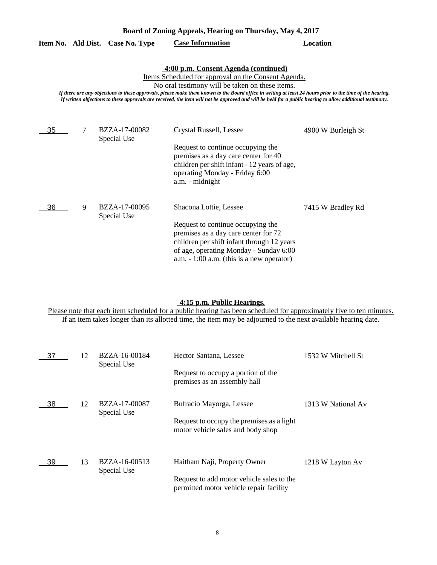| Board of Zoning Appeals, Hearing on Thursday, May 4, 2017 |  |  |  |  |  |
|-----------------------------------------------------------|--|--|--|--|--|
|-----------------------------------------------------------|--|--|--|--|--|

|  |  | Item No. Ald Dist. Case No. Type | <b>Case Information</b> | Location |
|--|--|----------------------------------|-------------------------|----------|
|--|--|----------------------------------|-------------------------|----------|

**4:00 p.m. Consent Agenda (continued)**

Items Scheduled for approval on the Consent Agenda.

No oral testimony will be taken on these items.

*If there are any objections to these approvals, please make them known to the Board office in writing at least 24 hours prior to the time of the hearing. If written objections to these approvals are received, the item will not be approved and will be held for a public hearing to allow additional testimony.*

| 35 |   | BZZA-17-00082<br>Special Use | Crystal Russell, Lessee                                                                                                                                                                                         | 4900 W Burleigh St |
|----|---|------------------------------|-----------------------------------------------------------------------------------------------------------------------------------------------------------------------------------------------------------------|--------------------|
|    |   |                              | Request to continue occupying the<br>premises as a day care center for 40<br>children per shift infant - 12 years of age,<br>operating Monday - Friday 6:00<br>a.m. - midnight                                  |                    |
| 36 | 9 | BZZA-17-00095<br>Special Use | Shacona Lottie, Lessee                                                                                                                                                                                          | 7415 W Bradley Rd  |
|    |   |                              | Request to continue occupying the<br>premises as a day care center for 72<br>children per shift infant through 12 years<br>of age, operating Monday - Sunday 6:00<br>a.m. $-1:00$ a.m. (this is a new operator) |                    |

#### **4:15 p.m. Public Hearings.**

Please note that each item scheduled for a public hearing has been scheduled for approximately five to ten minutes. If an item takes longer than its allotted time, the item may be adjourned to the next available hearing date.

| 37 | 12 | BZZA-16-00184<br>Special Use | Hector Santana, Lessee                                                                                               | 1532 W Mitchell St |
|----|----|------------------------------|----------------------------------------------------------------------------------------------------------------------|--------------------|
|    |    |                              | Request to occupy a portion of the<br>premises as an assembly hall                                                   |                    |
| 38 | 12 | BZZA-17-00087<br>Special Use | Bufracio Mayorga, Lessee<br>Request to occupy the premises as a light<br>motor vehicle sales and body shop           | 1313 W National Av |
| 39 | 13 | BZZA-16-00513<br>Special Use | Haitham Naji, Property Owner<br>Request to add motor vehicle sales to the<br>permitted motor vehicle repair facility | 1218 W Layton Av   |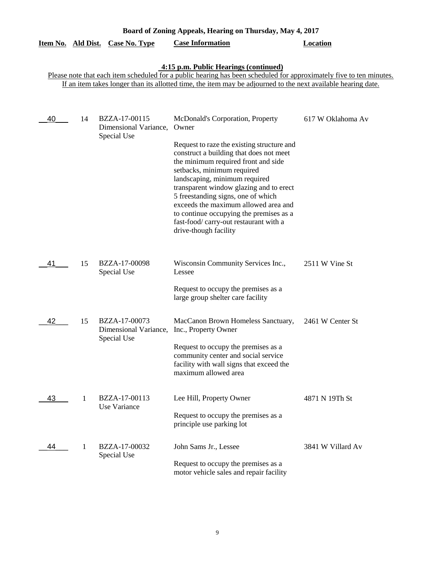|    |    | Item No. Ald Dist. Case No. Type                      | <b>Case Information</b>                                                                                                                                                                                                                                                                                                                                                                                                                                                        | <b>Location</b>   |
|----|----|-------------------------------------------------------|--------------------------------------------------------------------------------------------------------------------------------------------------------------------------------------------------------------------------------------------------------------------------------------------------------------------------------------------------------------------------------------------------------------------------------------------------------------------------------|-------------------|
|    |    |                                                       | 4:15 p.m. Public Hearings (continued)<br>Please note that each item scheduled for a public hearing has been scheduled for approximately five to ten minutes.<br>If an item takes longer than its allotted time, the item may be adjourned to the next available hearing date.                                                                                                                                                                                                  |                   |
| 40 | 14 | BZZA-17-00115<br>Dimensional Variance,<br>Special Use | McDonald's Corporation, Property<br>Owner<br>Request to raze the existing structure and<br>construct a building that does not meet<br>the minimum required front and side<br>setbacks, minimum required<br>landscaping, minimum required<br>transparent window glazing and to erect<br>5 freestanding signs, one of which<br>exceeds the maximum allowed area and<br>to continue occupying the premises as a<br>fast-food/carry-out restaurant with a<br>drive-though facility | 617 W Oklahoma Av |
| 41 | 15 | BZZA-17-00098<br>Special Use                          | Wisconsin Community Services Inc.,<br>Lessee<br>Request to occupy the premises as a<br>large group shelter care facility                                                                                                                                                                                                                                                                                                                                                       | 2511 W Vine St    |
| 42 | 15 | BZZA-17-00073<br>Dimensional Variance,<br>Special Use | MacCanon Brown Homeless Sanctuary,<br>Inc., Property Owner<br>Request to occupy the premises as a<br>community center and social service<br>facility with wall signs that exceed the<br>maximum allowed area                                                                                                                                                                                                                                                                   | 2461 W Center St  |
| 43 | 1  | BZZA-17-00113<br>Use Variance                         | Lee Hill, Property Owner<br>Request to occupy the premises as a<br>principle use parking lot                                                                                                                                                                                                                                                                                                                                                                                   | 4871 N 19Th St    |
| 44 | 1  | BZZA-17-00032<br>Special Use                          | John Sams Jr., Lessee<br>Request to occupy the premises as a<br>motor vehicle sales and repair facility                                                                                                                                                                                                                                                                                                                                                                        | 3841 W Villard Av |

**Board of Zoning Appeals, Hearing on Thursday, May 4, 2017** 

# 9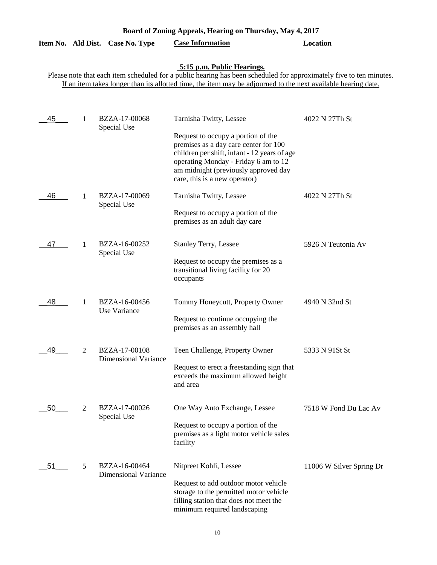| Board of Zoning Appeals, Hearing on Thursday, May 4, 2017 |  |  |  |  |  |
|-----------------------------------------------------------|--|--|--|--|--|
|-----------------------------------------------------------|--|--|--|--|--|

| Item No. Ald Dist. |   | <b>Case No. Type</b>                         | <b>Case Information</b>                                                                                                                                                                                                                      | <b>Location</b>          |
|--------------------|---|----------------------------------------------|----------------------------------------------------------------------------------------------------------------------------------------------------------------------------------------------------------------------------------------------|--------------------------|
|                    |   |                                              | 5:15 p.m. Public Hearings.<br>Please note that each item scheduled for a public hearing has been scheduled for approximately five to ten minutes.                                                                                            |                          |
|                    |   |                                              | If an item takes longer than its allotted time, the item may be adjourned to the next available hearing date.                                                                                                                                |                          |
|                    |   |                                              |                                                                                                                                                                                                                                              |                          |
| 45                 | 1 | BZZA-17-00068<br>Special Use                 | Tarnisha Twitty, Lessee                                                                                                                                                                                                                      | 4022 N 27Th St           |
|                    |   |                                              | Request to occupy a portion of the<br>premises as a day care center for 100<br>children per shift, infant - 12 years of age<br>operating Monday - Friday 6 am to 12<br>am midnight (previously approved day<br>care, this is a new operator) |                          |
| 46                 | 1 | BZZA-17-00069<br>Special Use                 | Tarnisha Twitty, Lessee                                                                                                                                                                                                                      | 4022 N 27Th St           |
|                    |   |                                              | Request to occupy a portion of the<br>premises as an adult day care                                                                                                                                                                          |                          |
| 47                 | 1 | BZZA-16-00252<br>Special Use                 | <b>Stanley Terry, Lessee</b>                                                                                                                                                                                                                 | 5926 N Teutonia Av       |
|                    |   |                                              | Request to occupy the premises as a<br>transitional living facility for 20<br>occupants                                                                                                                                                      |                          |
| 48                 | 1 | BZZA-16-00456<br>Use Variance                | Tommy Honeycutt, Property Owner                                                                                                                                                                                                              | 4940 N 32nd St           |
|                    |   |                                              | Request to continue occupying the<br>premises as an assembly hall                                                                                                                                                                            |                          |
| 49                 | 2 | BZZA-17-00108<br>Dimensional Variance        | Teen Challenge, Property Owner                                                                                                                                                                                                               | 5333 N 91St St           |
|                    |   |                                              | Request to erect a freestanding sign that<br>exceeds the maximum allowed height<br>and area                                                                                                                                                  |                          |
| 50                 | 2 | BZZA-17-00026<br>Special Use                 | One Way Auto Exchange, Lessee                                                                                                                                                                                                                | 7518 W Fond Du Lac Av    |
|                    |   |                                              | Request to occupy a portion of the<br>premises as a light motor vehicle sales<br>facility                                                                                                                                                    |                          |
| 51                 | 5 | BZZA-16-00464<br><b>Dimensional Variance</b> | Nitpreet Kohli, Lessee                                                                                                                                                                                                                       | 11006 W Silver Spring Dr |
|                    |   |                                              | Request to add outdoor motor vehicle<br>storage to the permitted motor vehicle<br>filling station that does not meet the<br>minimum required landscaping                                                                                     |                          |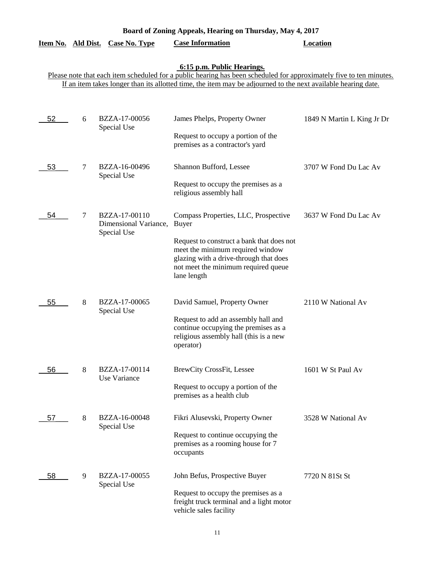| Board of Zoning Appeals, Hearing on Thursday, May 4, 2017 |  |  |  |  |  |  |  |
|-----------------------------------------------------------|--|--|--|--|--|--|--|
|-----------------------------------------------------------|--|--|--|--|--|--|--|

|    |   | Item No. Ald Dist. Case No. Type                      | <b>Case Information</b>                                                                                                                                                                                                                                            | <b>Location</b>            |
|----|---|-------------------------------------------------------|--------------------------------------------------------------------------------------------------------------------------------------------------------------------------------------------------------------------------------------------------------------------|----------------------------|
|    |   |                                                       | 6:15 p.m. Public Hearings.<br>Please note that each item scheduled for a public hearing has been scheduled for approximately five to ten minutes.<br>If an item takes longer than its allotted time, the item may be adjourned to the next available hearing date. |                            |
| 52 | 6 | BZZA-17-00056<br>Special Use                          | James Phelps, Property Owner<br>Request to occupy a portion of the<br>premises as a contractor's yard                                                                                                                                                              | 1849 N Martin L King Jr Dr |
| 53 | 7 | BZZA-16-00496<br>Special Use                          | Shannon Bufford, Lessee<br>Request to occupy the premises as a<br>religious assembly hall                                                                                                                                                                          | 3707 W Fond Du Lac Av      |
| 54 | 7 | BZZA-17-00110<br>Dimensional Variance,<br>Special Use | Compass Properties, LLC, Prospective<br><b>Buyer</b><br>Request to construct a bank that does not<br>meet the minimum required window<br>glazing with a drive-through that does<br>not meet the minimum required queue<br>lane length                              | 3637 W Fond Du Lac Av      |
| 55 | 8 | BZZA-17-00065<br>Special Use                          | David Samuel, Property Owner<br>Request to add an assembly hall and<br>continue occupying the premises as a<br>religious assembly hall (this is a new<br>operator)                                                                                                 | 2110 W National Av         |
| 56 | 8 | BZZA-17-00114<br>Use Variance                         | <b>BrewCity CrossFit, Lessee</b><br>Request to occupy a portion of the<br>premises as a health club                                                                                                                                                                | 1601 W St Paul Av          |
| 57 | 8 | BZZA-16-00048<br>Special Use                          | Fikri Alusevski, Property Owner<br>Request to continue occupying the<br>premises as a rooming house for 7<br>occupants                                                                                                                                             | 3528 W National Av         |
| 58 | 9 | BZZA-17-00055<br>Special Use                          | John Befus, Prospective Buyer<br>Request to occupy the premises as a<br>freight truck terminal and a light motor<br>vehicle sales facility                                                                                                                         | 7720 N 81St St             |